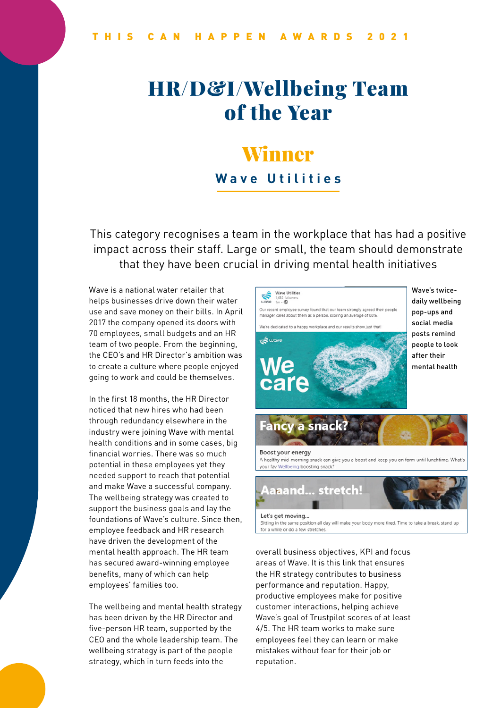# HR/D&I/Wellbeing Team of the Year

# Winner **Wave Utilities**

This category recognises a team in the workplace that has had a positive impact across their staff. Large or small, the team should demonstrate that they have been crucial in driving mental health initiatives

Wave is a national water retailer that helps businesses drive down their water use and save money on their bills. In April 2017 the company opened its doors with 70 employees, small budgets and an HR team of two people. From the beginning, the CEO's and HR Director's ambition was to create a culture where people enjoyed going to work and could be themselves.

In the first 18 months, the HR Director noticed that new hires who had been through redundancy elsewhere in the industry were joining Wave with mental health conditions and in some cases, big financial worries. There was so much potential in these employees yet they needed support to reach that potential and make Wave a successful company. The wellbeing strategy was created to support the business goals and lay the foundations of Wave's culture. Since then, employee feedback and HR research have driven the development of the mental health approach. The HR team has secured award-winning employee benefits, many of which can help employees' families too.

The wellbeing and mental health strategy has been driven by the HR Director and five-person HR team, supported by the CEO and the whole leadership team. The wellbeing strategy is part of the people strategy, which in turn feeds into the



Wave's twicedaily wellbeing pop-ups and social media posts remind people to look after their mental health



for a while or do a few stretches.

overall business objectives, KPI and focus areas of Wave. It is this link that ensures the HR strategy contributes to business performance and reputation. Happy, productive employees make for positive customer interactions, helping achieve Wave's goal of Trustpilot scores of at least 4/5. The HR team works to make sure employees feel they can learn or make mistakes without fear for their job or reputation.